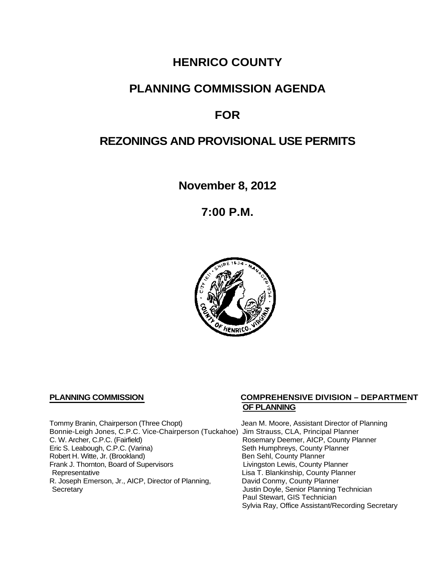# **HENRICO COUNTY**

## **PLANNING COMMISSION AGENDA**

# **FOR**

# **REZONINGS AND PROVISIONAL USE PERMITS**

**November 8, 2012**

**7:00 P.M.**



Tommy Branin, Chairperson (Three Chopt) Jean M. Moore, Assistant Director of Planning Bonnie-Leigh Jones, C.P.C. Vice-Chairperson (Tuckahoe) Jim Strauss, CLA, Principal Planner C. W. Archer, C.P.C. (Fairfield) <br>
Eric S. Leabough, C.P.C. (Varina) 
Rosemary Deemer, AICP, County Planner<br>
Seth Humphreys, County Planner Robert H. Witte, Jr. (Brookland)<br>
Frank J. Thornton, Board of Supervisors<br>
Eivingston Lewis, County Planner Frank J. Thornton, Board of Supervisors<br>Representative R. Joseph Emerson, Jr., AICP, Director of Planning, Secretary

## **PLANNING COMMISSION COMPREHENSIVE DIVISION – DEPARTMENT OF PLANNING**

Seth Humphreys, County Planner<br>Ben Sehl, County Planner Lisa T. Blankinship, County Planner<br>David Conmy, County Planner Justin Doyle, Senior Planning Technician Paul Stewart, GIS Technician Sylvia Ray, Office Assistant/Recording Secretary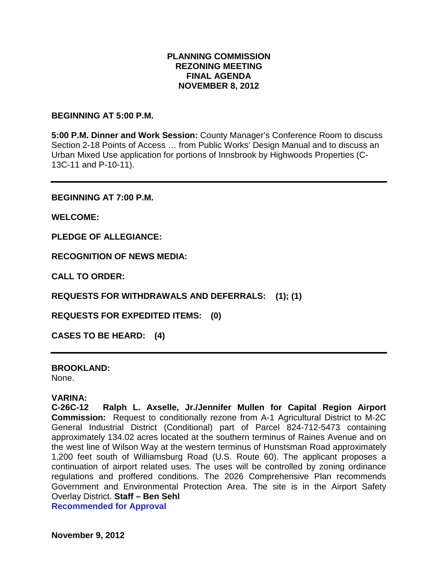### **PLANNING COMMISSION REZONING MEETING FINAL AGENDA NOVEMBER 8, 2012**

#### **BEGINNING AT 5:00 P.M.**

**5:00 P.M. Dinner and Work Session:** County Manager's Conference Room to discuss Section 2-18 Points of Access … from Public Works' Design Manual and to discuss an Urban Mixed Use application for portions of Innsbrook by Highwoods Properties (C-13C-11 and P-10-11).

**BEGINNING AT 7:00 P.M.**

**WELCOME:**

**PLEDGE OF ALLEGIANCE:**

**RECOGNITION OF NEWS MEDIA:**

**CALL TO ORDER:**

**REQUESTS FOR WITHDRAWALS AND DEFERRALS: (1); (1)**

**REQUESTS FOR EXPEDITED ITEMS: (0)**

**CASES TO BE HEARD: (4)**

**BROOKLAND:** None.

## **VARINA:**

**C-26C-12 Ralph L. Axselle, Jr./Jennifer Mullen for Capital Region Airport Commission:** Request to conditionally rezone from A-1 Agricultural District to M-2C General Industrial District (Conditional) part of Parcel 824-712-5473 containing approximately 134.02 acres located at the southern terminus of Raines Avenue and on the west line of Wilson Way at the western terminus of Hunstsman Road approximately 1,200 feet south of Williamsburg Road (U.S. Route 60). The applicant proposes a continuation of airport related uses. The uses will be controlled by zoning ordinance regulations and proffered conditions. The 2026 Comprehensive Plan recommends Government and Environmental Protection Area. The site is in the Airport Safety Overlay District. **Staff – Ben Sehl Recommended for Approval**

**November 9, 2012**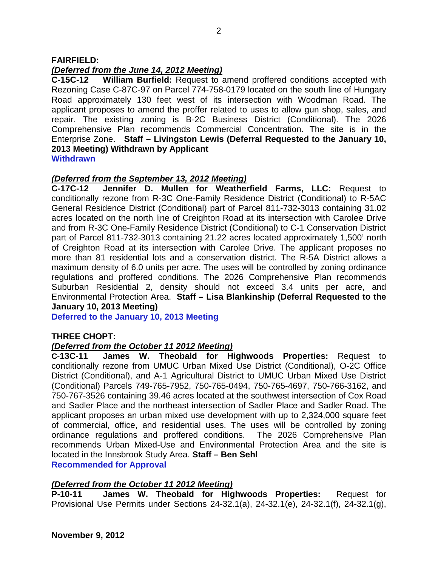### **FAIRFIELD:**

### *(Deferred from the June 14, 2012 Meeting)*

**C-15C-12 William Burfield:** Request to amend proffered conditions accepted with Rezoning Case C-87C-97 on Parcel 774-758-0179 located on the south line of Hungary Road approximately 130 feet west of its intersection with Woodman Road. The applicant proposes to amend the proffer related to uses to allow gun shop, sales, and repair. The existing zoning is B-2C Business District (Conditional). The 2026 Comprehensive Plan recommends Commercial Concentration. The site is in the Enterprise Zone. **Staff – Livingston Lewis (Deferral Requested to the January 10, 2013 Meeting) Withdrawn by Applicant Withdrawn**

*(Deferred from the September 13, 2012 Meeting)* **C-17C-12 Jennifer D. Mullen for Weatherfield Farms, LLC:** Request to conditionally rezone from R-3C One-Family Residence District (Conditional) to R-5AC General Residence District (Conditional) part of Parcel 811-732-3013 containing 31.02 acres located on the north line of Creighton Road at its intersection with Carolee Drive and from R-3C One-Family Residence District (Conditional) to C-1 Conservation District part of Parcel 811-732-3013 containing 21.22 acres located approximately 1,500' north of Creighton Road at its intersection with Carolee Drive. The applicant proposes no more than 81 residential lots and a conservation district. The R-5A District allows a maximum density of 6.0 units per acre. The uses will be controlled by zoning ordinance regulations and proffered conditions. The 2026 Comprehensive Plan recommends Suburban Residential 2, density should not exceed 3.4 units per acre, and Environmental Protection Area. **Staff – Lisa Blankinship (Deferral Requested to the January 10, 2013 Meeting)**

**Deferred to the January 10, 2013 Meeting**

#### **THREE CHOPT:**

#### *(Deferred from the October 11 2012 Meeting)*

**C-13C-11 James W. Theobald for Highwoods Properties:** Request to conditionally rezone from UMUC Urban Mixed Use District (Conditional), O-2C Office District (Conditional), and A-1 Agricultural District to UMUC Urban Mixed Use District (Conditional) Parcels 749-765-7952, 750-765-0494, 750-765-4697, 750-766-3162, and 750-767-3526 containing 39.46 acres located at the southwest intersection of Cox Road and Sadler Place and the northeast intersection of Sadler Place and Sadler Road. The applicant proposes an urban mixed use development with up to 2,324,000 square feet of commercial, office, and residential uses. The uses will be controlled by zoning ordinance regulations and proffered conditions. The 2026 Comprehensive Plan recommends Urban Mixed-Use and Environmental Protection Area and the site is located in the Innsbrook Study Area. **Staff – Ben Sehl Recommended for Approval**

#### *(Deferred from the October 11 2012 Meeting)*

**P-10-11 James W. Theobald for Highwoods Properties:** Request for Provisional Use Permits under Sections 24-32.1(a), 24-32.1(e), 24-32.1(f), 24-32.1(g),